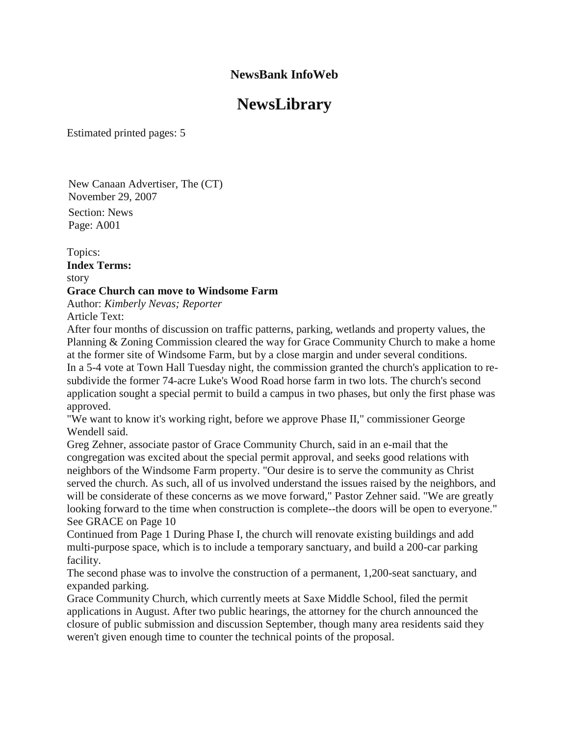# **NewsLibrary**

Estimated printed pages: 5

New Canaan Advertiser, The (CT) November 29, 2007 Section: News Page: A001

Topics: **Index Terms:**  story **Grace Church can move to Windsome Farm** Author: *Kimberly Nevas; Reporter*  Article Text:

After four months of discussion on traffic patterns, parking, wetlands and property values, the Planning & Zoning Commission cleared the way for Grace Community Church to make a home at the former site of Windsome Farm, but by a close margin and under several conditions. In a 5-4 vote at Town Hall Tuesday night, the commission granted the church's application to resubdivide the former 74-acre Luke's Wood Road horse farm in two lots. The church's second application sought a special permit to build a campus in two phases, but only the first phase was approved.

"We want to know it's working right, before we approve Phase II," commissioner George Wendell said.

Greg Zehner, associate pastor of Grace Community Church, said in an e-mail that the congregation was excited about the special permit approval, and seeks good relations with neighbors of the Windsome Farm property. "Our desire is to serve the community as Christ served the church. As such, all of us involved understand the issues raised by the neighbors, and will be considerate of these concerns as we move forward," Pastor Zehner said. "We are greatly looking forward to the time when construction is complete--the doors will be open to everyone." See GRACE on Page 10

Continued from Page 1 During Phase I, the church will renovate existing buildings and add multi-purpose space, which is to include a temporary sanctuary, and build a 200-car parking facility.

The second phase was to involve the construction of a permanent, 1,200-seat sanctuary, and expanded parking.

Grace Community Church, which currently meets at Saxe Middle School, filed the permit applications in August. After two public hearings, the attorney for the church announced the closure of public submission and discussion September, though many area residents said they weren't given enough time to counter the technical points of the proposal.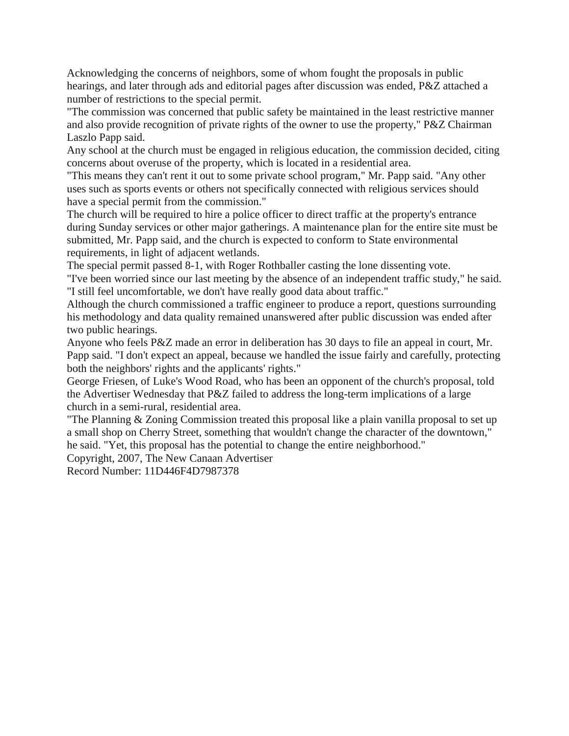Acknowledging the concerns of neighbors, some of whom fought the proposals in public hearings, and later through ads and editorial pages after discussion was ended, P&Z attached a number of restrictions to the special permit.

"The commission was concerned that public safety be maintained in the least restrictive manner and also provide recognition of private rights of the owner to use the property," P&Z Chairman Laszlo Papp said.

Any school at the church must be engaged in religious education, the commission decided, citing concerns about overuse of the property, which is located in a residential area.

"This means they can't rent it out to some private school program," Mr. Papp said. "Any other uses such as sports events or others not specifically connected with religious services should have a special permit from the commission."

The church will be required to hire a police officer to direct traffic at the property's entrance during Sunday services or other major gatherings. A maintenance plan for the entire site must be submitted, Mr. Papp said, and the church is expected to conform to State environmental requirements, in light of adjacent wetlands.

The special permit passed 8-1, with Roger Rothballer casting the lone dissenting vote.

"I've been worried since our last meeting by the absence of an independent traffic study," he said. "I still feel uncomfortable, we don't have really good data about traffic."

Although the church commissioned a traffic engineer to produce a report, questions surrounding his methodology and data quality remained unanswered after public discussion was ended after two public hearings.

Anyone who feels P&Z made an error in deliberation has 30 days to file an appeal in court, Mr. Papp said. "I don't expect an appeal, because we handled the issue fairly and carefully, protecting both the neighbors' rights and the applicants' rights."

George Friesen, of Luke's Wood Road, who has been an opponent of the church's proposal, told the Advertiser Wednesday that P&Z failed to address the long-term implications of a large church in a semi-rural, residential area.

"The Planning & Zoning Commission treated this proposal like a plain vanilla proposal to set up a small shop on Cherry Street, something that wouldn't change the character of the downtown," he said. "Yet, this proposal has the potential to change the entire neighborhood."

Copyright, 2007, The New Canaan Advertiser

Record Number: 11D446F4D7987378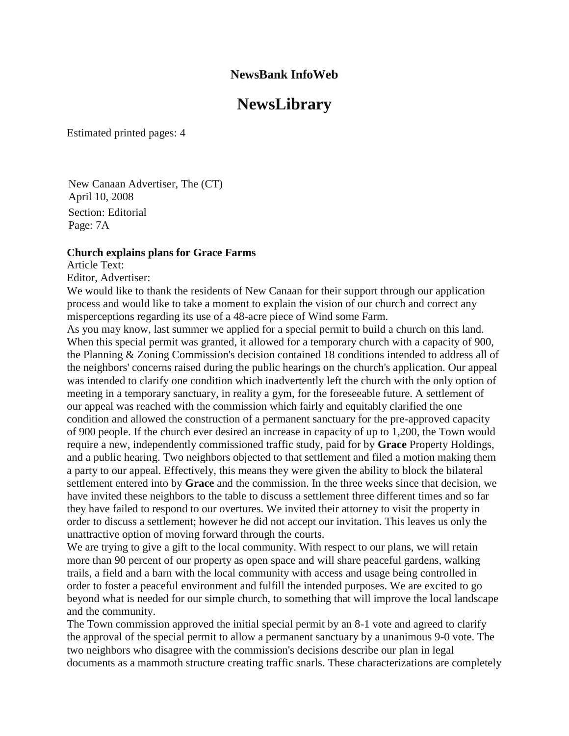# **NewsLibrary**

Estimated printed pages: 4

New Canaan Advertiser, The (CT) April 10, 2008 Section: Editorial Page: 7A

#### **Church explains plans for Grace Farms**

Article Text:

Editor, Advertiser:

We would like to thank the residents of New Canaan for their support through our application process and would like to take a moment to explain the vision of our church and correct any misperceptions regarding its use of a 48-acre piece of Wind some Farm.

As you may know, last summer we applied for a special permit to build a church on this land. When this special permit was granted, it allowed for a temporary church with a capacity of 900, the Planning & Zoning Commission's decision contained 18 conditions intended to address all of the neighbors' concerns raised during the public hearings on the church's application. Our appeal was intended to clarify one condition which inadvertently left the church with the only option of meeting in a temporary sanctuary, in reality a gym, for the foreseeable future. A settlement of our appeal was reached with the commission which fairly and equitably clarified the one condition and allowed the construction of a permanent sanctuary for the pre-approved capacity of 900 people. If the church ever desired an increase in capacity of up to 1,200, the Town would require a new, independently commissioned traffic study, paid for by **Grace** Property Holdings, and a public hearing. Two neighbors objected to that settlement and filed a motion making them a party to our appeal. Effectively, this means they were given the ability to block the bilateral settlement entered into by **Grace** and the commission. In the three weeks since that decision, we have invited these neighbors to the table to discuss a settlement three different times and so far they have failed to respond to our overtures. We invited their attorney to visit the property in order to discuss a settlement; however he did not accept our invitation. This leaves us only the unattractive option of moving forward through the courts.

We are trying to give a gift to the local community. With respect to our plans, we will retain more than 90 percent of our property as open space and will share peaceful gardens, walking trails, a field and a barn with the local community with access and usage being controlled in order to foster a peaceful environment and fulfill the intended purposes. We are excited to go beyond what is needed for our simple church, to something that will improve the local landscape and the community.

The Town commission approved the initial special permit by an 8-1 vote and agreed to clarify the approval of the special permit to allow a permanent sanctuary by a unanimous 9-0 vote. The two neighbors who disagree with the commission's decisions describe our plan in legal documents as a mammoth structure creating traffic snarls. These characterizations are completely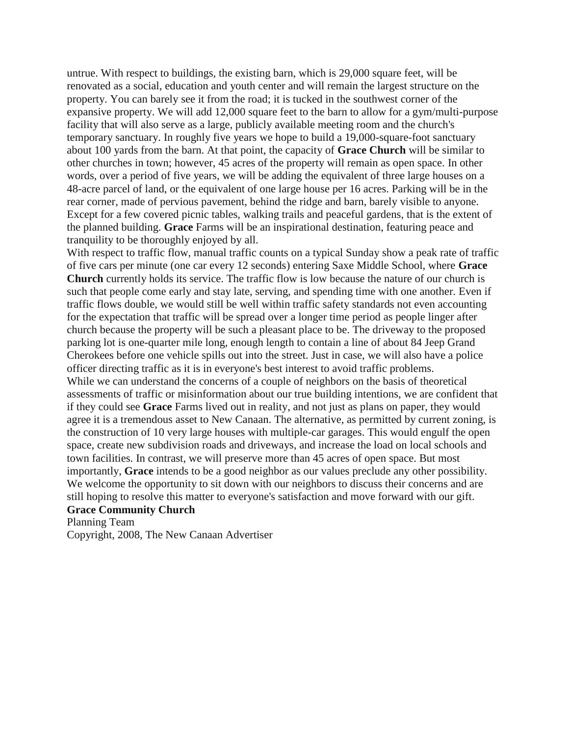untrue. With respect to buildings, the existing barn, which is 29,000 square feet, will be renovated as a social, education and youth center and will remain the largest structure on the property. You can barely see it from the road; it is tucked in the southwest corner of the expansive property. We will add 12,000 square feet to the barn to allow for a gym/multi-purpose facility that will also serve as a large, publicly available meeting room and the church's temporary sanctuary. In roughly five years we hope to build a 19,000-square-foot sanctuary about 100 yards from the barn. At that point, the capacity of **Grace Church** will be similar to other churches in town; however, 45 acres of the property will remain as open space. In other words, over a period of five years, we will be adding the equivalent of three large houses on a 48-acre parcel of land, or the equivalent of one large house per 16 acres. Parking will be in the rear corner, made of pervious pavement, behind the ridge and barn, barely visible to anyone. Except for a few covered picnic tables, walking trails and peaceful gardens, that is the extent of the planned building. **Grace** Farms will be an inspirational destination, featuring peace and tranquility to be thoroughly enjoyed by all.

With respect to traffic flow, manual traffic counts on a typical Sunday show a peak rate of traffic of five cars per minute (one car every 12 seconds) entering Saxe Middle School, where **Grace Church** currently holds its service. The traffic flow is low because the nature of our church is such that people come early and stay late, serving, and spending time with one another. Even if traffic flows double, we would still be well within traffic safety standards not even accounting for the expectation that traffic will be spread over a longer time period as people linger after church because the property will be such a pleasant place to be. The driveway to the proposed parking lot is one-quarter mile long, enough length to contain a line of about 84 Jeep Grand Cherokees before one vehicle spills out into the street. Just in case, we will also have a police officer directing traffic as it is in everyone's best interest to avoid traffic problems. While we can understand the concerns of a couple of neighbors on the basis of theoretical assessments of traffic or misinformation about our true building intentions, we are confident that if they could see **Grace** Farms lived out in reality, and not just as plans on paper, they would agree it is a tremendous asset to New Canaan. The alternative, as permitted by current zoning, is the construction of 10 very large houses with multiple-car garages. This would engulf the open space, create new subdivision roads and driveways, and increase the load on local schools and town facilities. In contrast, we will preserve more than 45 acres of open space. But most importantly, **Grace** intends to be a good neighbor as our values preclude any other possibility. We welcome the opportunity to sit down with our neighbors to discuss their concerns and are still hoping to resolve this matter to everyone's satisfaction and move forward with our gift.

#### **Grace Community Church**

Planning Team

Copyright, 2008, The New Canaan Advertiser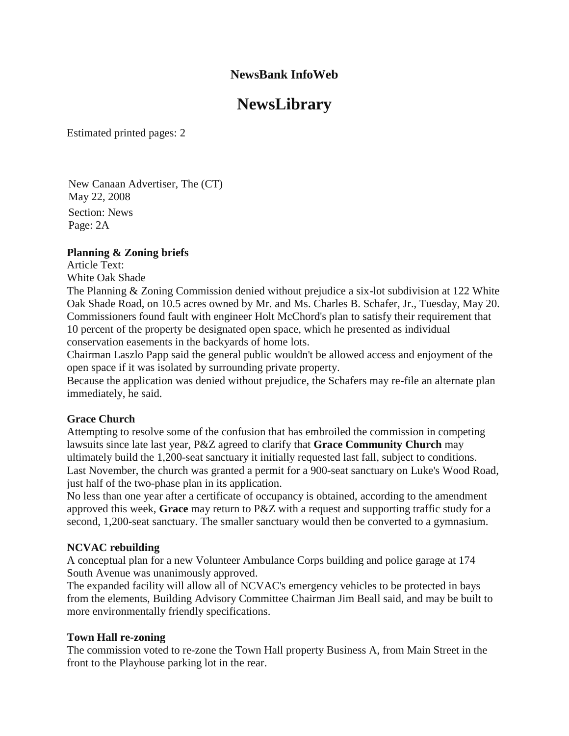# **NewsLibrary**

Estimated printed pages: 2

New Canaan Advertiser, The (CT) May 22, 2008 Section: News Page: 2A

### **Planning & Zoning briefs**

Article Text:

White Oak Shade

The Planning & Zoning Commission denied without prejudice a six-lot subdivision at 122 White Oak Shade Road, on 10.5 acres owned by Mr. and Ms. Charles B. Schafer, Jr., Tuesday, May 20. Commissioners found fault with engineer Holt McChord's plan to satisfy their requirement that 10 percent of the property be designated open space, which he presented as individual conservation easements in the backyards of home lots.

Chairman Laszlo Papp said the general public wouldn't be allowed access and enjoyment of the open space if it was isolated by surrounding private property.

Because the application was denied without prejudice, the Schafers may re-file an alternate plan immediately, he said.

### **Grace Church**

Attempting to resolve some of the confusion that has embroiled the commission in competing lawsuits since late last year, P&Z agreed to clarify that **Grace Community Church** may ultimately build the 1,200-seat sanctuary it initially requested last fall, subject to conditions. Last November, the church was granted a permit for a 900-seat sanctuary on Luke's Wood Road, just half of the two-phase plan in its application.

No less than one year after a certificate of occupancy is obtained, according to the amendment approved this week, **Grace** may return to P&Z with a request and supporting traffic study for a second, 1,200-seat sanctuary. The smaller sanctuary would then be converted to a gymnasium.

### **NCVAC rebuilding**

A conceptual plan for a new Volunteer Ambulance Corps building and police garage at 174 South Avenue was unanimously approved.

The expanded facility will allow all of NCVAC's emergency vehicles to be protected in bays from the elements, Building Advisory Committee Chairman Jim Beall said, and may be built to more environmentally friendly specifications.

### **Town Hall re-zoning**

The commission voted to re-zone the Town Hall property Business A, from Main Street in the front to the Playhouse parking lot in the rear.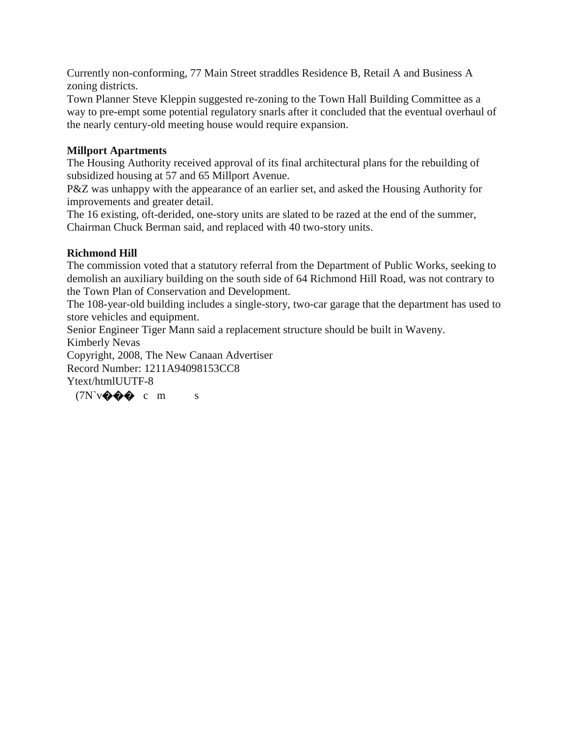Currently non-conforming, 77 Main Street straddles Residence B, Retail A and Business A zoning districts.

Town Planner Steve Kleppin suggested re-zoning to the Town Hall Building Committee as a way to pre-empt some potential regulatory snarls after it concluded that the eventual overhaul of the nearly century-old meeting house would require expansion.

### **Millport Apartments**

The Housing Authority received approval of its final architectural plans for the rebuilding of subsidized housing at 57 and 65 Millport Avenue.

P&Z was unhappy with the appearance of an earlier set, and asked the Housing Authority for improvements and greater detail.

The 16 existing, oft-derided, one-story units are slated to be razed at the end of the summer, Chairman Chuck Berman said, and replaced with 40 two-story units.

## **Richmond Hill**

The commission voted that a statutory referral from the Department of Public Works, seeking to demolish an auxiliary building on the south side of 64 Richmond Hill Road, was not contrary to the Town Plan of Conservation and Development.

The 108-year-old building includes a single-story, two-car garage that the department has used to store vehicles and equipment.

Senior Engineer Tiger Mann said a replacement structure should be built in Waveny. Kimberly Nevas

Copyright, 2008, The New Canaan Advertiser Record Number: 1211A94098153CC8 Ytext/htmlUUTF-8

 $(TN\vee\bullet\bullet\bullet c\mathbf{m})$ s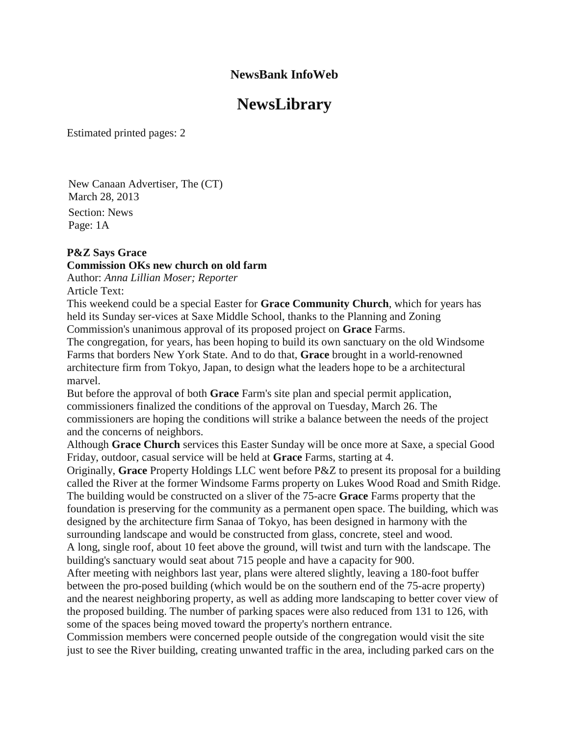# **NewsLibrary**

Estimated printed pages: 2

New Canaan Advertiser, The (CT) March 28, 2013 Section: News Page: 1A

#### **P&Z Says Grace**

### **Commission OKs new church on old farm**

Author: *Anna Lillian Moser; Reporter* Article Text:

This weekend could be a special Easter for **Grace Community Church**, which for years has held its Sunday ser-vices at Saxe Middle School, thanks to the Planning and Zoning Commission's unanimous approval of its proposed project on **Grace** Farms.

The congregation, for years, has been hoping to build its own sanctuary on the old Windsome Farms that borders New York State. And to do that, **Grace** brought in a world-renowned architecture firm from Tokyo, Japan, to design what the leaders hope to be a architectural marvel.

But before the approval of both **Grace** Farm's site plan and special permit application, commissioners finalized the conditions of the approval on Tuesday, March 26. The commissioners are hoping the conditions will strike a balance between the needs of the project and the concerns of neighbors.

Although **Grace Church** services this Easter Sunday will be once more at Saxe, a special Good Friday, outdoor, casual service will be held at **Grace** Farms, starting at 4.

Originally, **Grace** Property Holdings LLC went before P&Z to present its proposal for a building called the River at the former Windsome Farms property on Lukes Wood Road and Smith Ridge. The building would be constructed on a sliver of the 75-acre **Grace** Farms property that the foundation is preserving for the community as a permanent open space. The building, which was designed by the architecture firm Sanaa of Tokyo, has been designed in harmony with the surrounding landscape and would be constructed from glass, concrete, steel and wood. A long, single roof, about 10 feet above the ground, will twist and turn with the landscape. The building's sanctuary would seat about 715 people and have a capacity for 900.

After meeting with neighbors last year, plans were altered slightly, leaving a 180-foot buffer between the pro-posed building (which would be on the southern end of the 75-acre property) and the nearest neighboring property, as well as adding more landscaping to better cover view of the proposed building. The number of parking spaces were also reduced from 131 to 126, with some of the spaces being moved toward the property's northern entrance.

Commission members were concerned people outside of the congregation would visit the site just to see the River building, creating unwanted traffic in the area, including parked cars on the